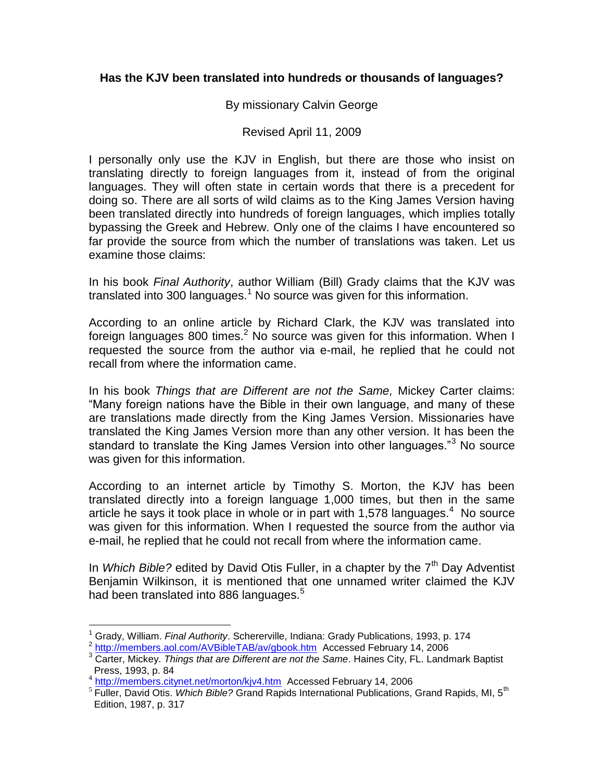### **Has the KJV been translated into hundreds or thousands of languages?**

#### By missionary Calvin George

#### Revised April 11, 2009

I personally only use the KJV in English, but there are those who insist on translating directly to foreign languages from it, instead of from the original languages. They will often state in certain words that there is a precedent for doing so. There are all sorts of wild claims as to the King James Version having been translated directly into hundreds of foreign languages, which implies totally bypassing the Greek and Hebrew. Only one of the claims I have encountered so far provide the source from which the number of translations was taken. Let us examine those claims:

In his book *Final Authority*, author William (Bill) Grady claims that the KJV was translated into 300 languages.<sup>1</sup> No source was given for this information.

According to an online article by Richard Clark, the KJV was translated into foreign languages 800 times.<sup>2</sup> No source was given for this information. When I requested the source from the author via e-mail, he replied that he could not recall from where the information came.

In his book *Things that are Different are not the Same,* Mickey Carter claims: "Many foreign nations have the Bible in their own language, and many of these are translations made directly from the King James Version. Missionaries have translated the King James Version more than any other version. It has been the standard to translate the King James Version into other languages."<sup>3</sup> No source was given for this information.

According to an internet article by Timothy S. Morton, the KJV has been translated directly into a foreign language 1,000 times, but then in the same article he says it took place in whole or in part with 1,578 languages. $4$  No source was given for this information. When I requested the source from the author via e-mail, he replied that he could not recall from where the information came.

In *Which Bible?* edited by David Otis Fuller, in a chapter by the 7<sup>th</sup> Day Adventist Benjamin Wilkinson, it is mentioned that one unnamed writer claimed the KJV had been translated into 886 languages.<sup>5</sup>

 $\overline{a}$ <sup>1</sup> Grady, William. *Final Authority*. Schererville, Indiana: Grady Publications, 1993, p. 174

<sup>&</sup>lt;sup>2</sup> <http://members.aol.com/AVBibleTAB/av/gbook.htm>Accessed February 14, 2006

<sup>3</sup> Carter, Mickey. *Things that are Different are not the Same*. Haines City, FL. Landmark Baptist Press, 1993, p. 84

<sup>&</sup>lt;sup>4</sup> <http://members.citynet.net/morton/kjv4.htm>Accessed February 14, 2006

<sup>&</sup>lt;sup>5</sup> Fuller, David Otis. *Which Bible?* Grand Rapids International Publications, Grand Rapids, MI, 5<sup>th</sup> Edition, 1987, p. 317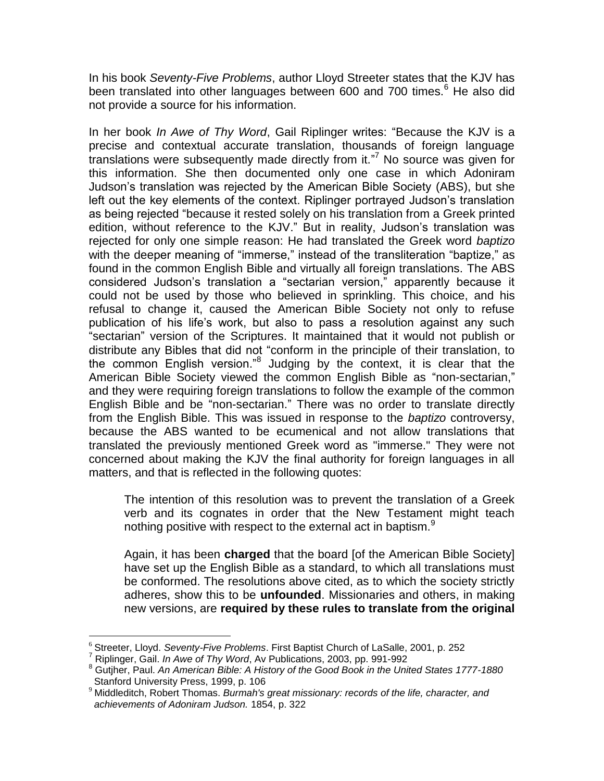In his book *Seventy-Five Problems*, author Lloyd Streeter states that the KJV has been translated into other languages between 600 and 700 times.<sup>6</sup> He also did not provide a source for his information.

In her book *In Awe of Thy Word*, Gail Riplinger writes: "Because the KJV is a precise and contextual accurate translation, thousands of foreign language translations were subsequently made directly from it." <sup>7</sup> No source was given for this information. She then documented only one case in which Adoniram Judson's translation was rejected by the American Bible Society (ABS), but she left out the key elements of the context. Riplinger portrayed Judson's translation as being rejected "because it rested solely on his translation from a Greek printed edition, without reference to the KJV." But in reality, Judson's translation was rejected for only one simple reason: He had translated the Greek word *baptizo* with the deeper meaning of "immerse," instead of the transliteration "baptize," as found in the common English Bible and virtually all foreign translations. The ABS considered Judson's translation a "sectarian version," apparently because it could not be used by those who believed in sprinkling. This choice, and his refusal to change it, caused the American Bible Society not only to refuse publication of his life's work, but also to pass a resolution against any such "sectarian" version of the Scriptures. It maintained that it would not publish or distribute any Bibles that did not "conform in the principle of their translation, to the common English version."<sup>8</sup> Judging by the context, it is clear that the American Bible Society viewed the common English Bible as "non-sectarian," and they were requiring foreign translations to follow the example of the common English Bible and be "non-sectarian." There was no order to translate directly from the English Bible. This was issued in response to the *baptizo* controversy, because the ABS wanted to be ecumenical and not allow translations that translated the previously mentioned Greek word as "immerse." They were not concerned about making the KJV the final authority for foreign languages in all matters, and that is reflected in the following quotes:

The intention of this resolution was to prevent the translation of a Greek verb and its cognates in order that the New Testament might teach nothing positive with respect to the external act in baptism.<sup>9</sup>

Again, it has been **charged** that the board [of the American Bible Society] have set up the English Bible as a standard, to which all translations must be conformed. The resolutions above cited, as to which the society strictly adheres, show this to be **unfounded**. Missionaries and others, in making new versions, are **required by these rules to translate from the original** 

 $\overline{a}$ 

<sup>6</sup> Streeter, Lloyd. *Seventy-Five Problems*. First Baptist Church of LaSalle, 2001, p. 252

<sup>7</sup> Riplinger, Gail. *In Awe of Thy Word*, Av Publications, 2003, pp. 991-992

<sup>8</sup> Gutjher, Paul. *An American Bible: A History of the Good Book in the United States 1777-1880* Stanford University Press, 1999, p. 106

<sup>9</sup> Middleditch, Robert Thomas. *Burmah's great missionary: records of the life, character, and achievements of Adoniram Judson.* 1854, p. 322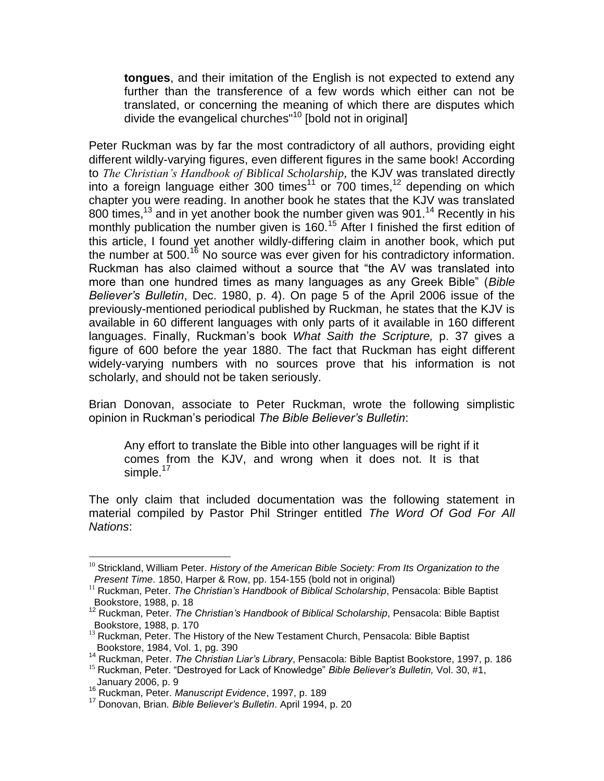**tongues**, and their imitation of the English is not expected to extend any further than the transference of a few words which either can not be translated, or concerning the meaning of which there are disputes which divide the evangelical churches"<sup>10</sup> [bold not in original]

Peter Ruckman was by far the most contradictory of all authors, providing eight different wildly-varying figures, even different figures in the same book! According to *The Christian's Handbook of Biblical Scholarship*, the KJV was translated directly into a foreign language either 300 times<sup>11</sup> or  $700$  times,<sup>12</sup> depending on which chapter you were reading. In another book he states that the KJV was translated 800 times,<sup>13</sup> and in yet another book the number given was 901.<sup>14</sup> Recently in his monthly publication the number given is 160.<sup>15</sup> After I finished the first edition of this article, I found yet another wildly-differing claim in another book, which put the number at 500.<sup>16</sup> No source was ever given for his contradictory information. Ruckman has also claimed without a source that "the AV was translated into more than one hundred times as many languages as any Greek Bible" (*Bible Believer's Bulletin*, Dec. 1980, p. 4). On page 5 of the April 2006 issue of the previously-mentioned periodical published by Ruckman, he states that the KJV is available in 60 different languages with only parts of it available in 160 different languages. Finally, Ruckman's book *What Saith the Scripture,* p. 37 gives a figure of 600 before the year 1880. The fact that Ruckman has eight different widely-varying numbers with no sources prove that his information is not scholarly, and should not be taken seriously.

Brian Donovan, associate to Peter Ruckman, wrote the following simplistic opinion in Ruckman's periodical *The Bible Believer's Bulletin*:

Any effort to translate the Bible into other languages will be right if it comes from the KJV, and wrong when it does not. It is that simple. $17$ 

The only claim that included documentation was the following statement in material compiled by Pastor Phil Stringer entitled *The Word Of God For All Nations*:

 $\overline{a}$ 

<sup>&</sup>lt;sup>10</sup> Strickland, William Peter. *History of the American Bible Society: From Its Organization to the Present Time*. 1850, Harper & Row, pp. 154-155 (bold not in original)

<sup>11</sup> Ruckman, Peter. *The Christian's Handbook of Biblical Scholarship*, Pensacola: Bible Baptist Bookstore, 1988, p. 18

<sup>12</sup> Ruckman, Peter. *The Christian's Handbook of Biblical Scholarship*, Pensacola: Bible Baptist Bookstore, 1988, p. 170

<sup>&</sup>lt;sup>13</sup> Ruckman, Peter. The History of the New Testament Church, Pensacola: Bible Baptist Bookstore, 1984, Vol. 1, pg. 390

<sup>14</sup> Ruckman, Peter. *The Christian Liar's Library*, Pensacola: Bible Baptist Bookstore, 1997, p. 186

<sup>15</sup> Ruckman, Peter. "Destroyed for Lack of Knowledge" *Bible Believer's Bulletin,* Vol. 30, #1, January 2006, p. 9

<sup>16</sup> Ruckman, Peter. *Manuscript Evidence*, 1997, p. 189

<sup>17</sup> Donovan, Brian. *Bible Believer's Bulletin*. April 1994, p. 20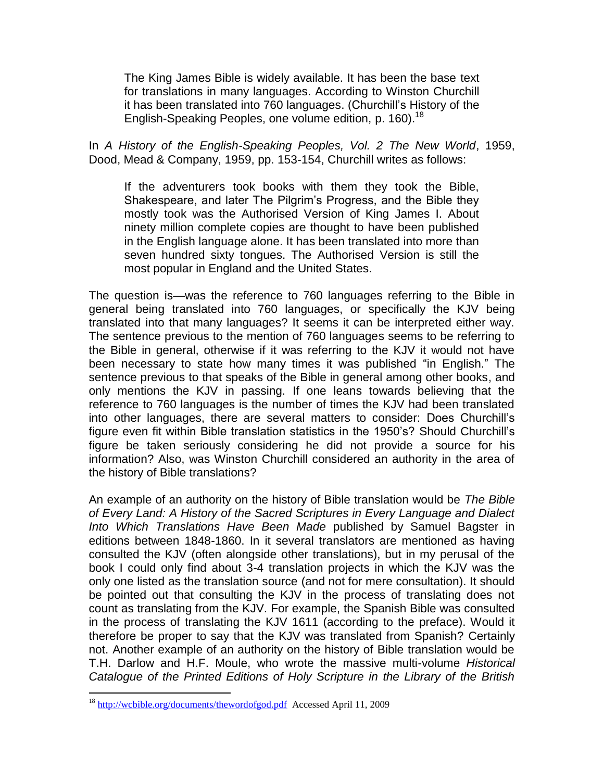The King James Bible is widely available. It has been the base text for translations in many languages. According to Winston Churchill it has been translated into 760 languages. (Churchill's History of the English-Speaking Peoples, one volume edition, p. 160).<sup>18</sup>

In *A History of the English-Speaking Peoples, Vol. 2 The New World*, 1959, Dood, Mead & Company, 1959, pp. 153-154, Churchill writes as follows:

If the adventurers took books with them they took the Bible, Shakespeare, and later The Pilgrim's Progress, and the Bible they mostly took was the Authorised Version of King James I. About ninety million complete copies are thought to have been published in the English language alone. It has been translated into more than seven hundred sixty tongues. The Authorised Version is still the most popular in England and the United States.

The question is—was the reference to 760 languages referring to the Bible in general being translated into 760 languages, or specifically the KJV being translated into that many languages? It seems it can be interpreted either way. The sentence previous to the mention of 760 languages seems to be referring to the Bible in general, otherwise if it was referring to the KJV it would not have been necessary to state how many times it was published "in English." The sentence previous to that speaks of the Bible in general among other books, and only mentions the KJV in passing. If one leans towards believing that the reference to 760 languages is the number of times the KJV had been translated into other languages, there are several matters to consider: Does Churchill's figure even fit within Bible translation statistics in the 1950's? Should Churchill's figure be taken seriously considering he did not provide a source for his information? Also, was Winston Churchill considered an authority in the area of the history of Bible translations?

An example of an authority on the history of Bible translation would be *The Bible of Every Land: A History of the Sacred Scriptures in Every Language and Dialect Into Which Translations Have Been Made* published by Samuel Bagster in editions between 1848-1860. In it several translators are mentioned as having consulted the KJV (often alongside other translations), but in my perusal of the book I could only find about 3-4 translation projects in which the KJV was the only one listed as the translation source (and not for mere consultation). It should be pointed out that consulting the KJV in the process of translating does not count as translating from the KJV. For example, the Spanish Bible was consulted in the process of translating the KJV 1611 (according to the preface). Would it therefore be proper to say that the KJV was translated from Spanish? Certainly not. Another example of an authority on the history of Bible translation would be T.H. Darlow and H.F. Moule, who wrote the massive multi-volume *Historical Catalogue of the Printed Editions of Holy Scripture in the Library of the British* 

 $\overline{a}$ 

<sup>18</sup> <http://wcbible.org/documents/thewordofgod.pdf> Accessed April 11, 2009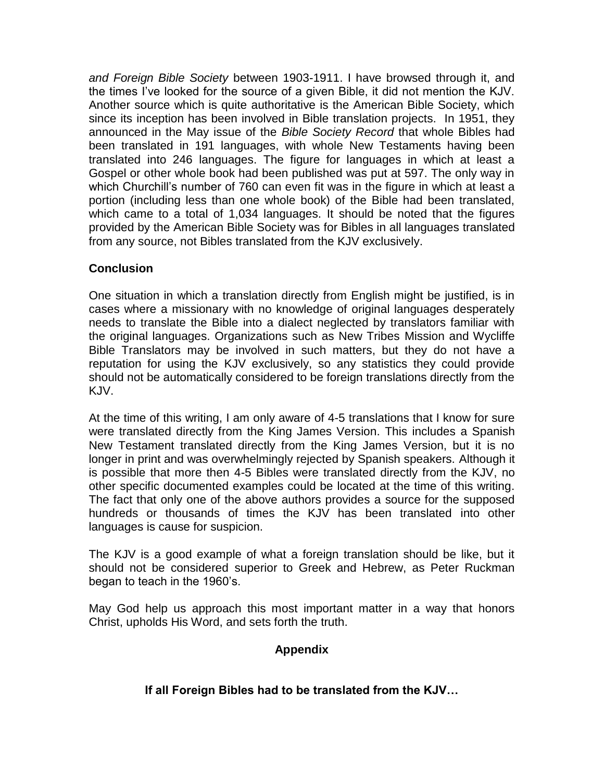*and Foreign Bible Society* between 1903-1911. I have browsed through it, and the times I've looked for the source of a given Bible, it did not mention the KJV. Another source which is quite authoritative is the American Bible Society, which since its inception has been involved in Bible translation projects. In 1951, they announced in the May issue of the *Bible Society Record* that whole Bibles had been translated in 191 languages, with whole New Testaments having been translated into 246 languages. The figure for languages in which at least a Gospel or other whole book had been published was put at 597. The only way in which Churchill's number of 760 can even fit was in the figure in which at least a portion (including less than one whole book) of the Bible had been translated, which came to a total of 1,034 languages. It should be noted that the figures provided by the American Bible Society was for Bibles in all languages translated from any source, not Bibles translated from the KJV exclusively.

# **Conclusion**

One situation in which a translation directly from English might be justified, is in cases where a missionary with no knowledge of original languages desperately needs to translate the Bible into a dialect neglected by translators familiar with the original languages. Organizations such as New Tribes Mission and Wycliffe Bible Translators may be involved in such matters, but they do not have a reputation for using the KJV exclusively, so any statistics they could provide should not be automatically considered to be foreign translations directly from the KJV.

At the time of this writing, I am only aware of 4-5 translations that I know for sure were translated directly from the King James Version. This includes a Spanish New Testament translated directly from the King James Version, but it is no longer in print and was overwhelmingly rejected by Spanish speakers. Although it is possible that more then 4-5 Bibles were translated directly from the KJV, no other specific documented examples could be located at the time of this writing. The fact that only one of the above authors provides a source for the supposed hundreds or thousands of times the KJV has been translated into other languages is cause for suspicion.

The KJV is a good example of what a foreign translation should be like, but it should not be considered superior to Greek and Hebrew, as Peter Ruckman began to teach in the 1960's.

May God help us approach this most important matter in a way that honors Christ, upholds His Word, and sets forth the truth.

# **Appendix**

# **If all Foreign Bibles had to be translated from the KJV…**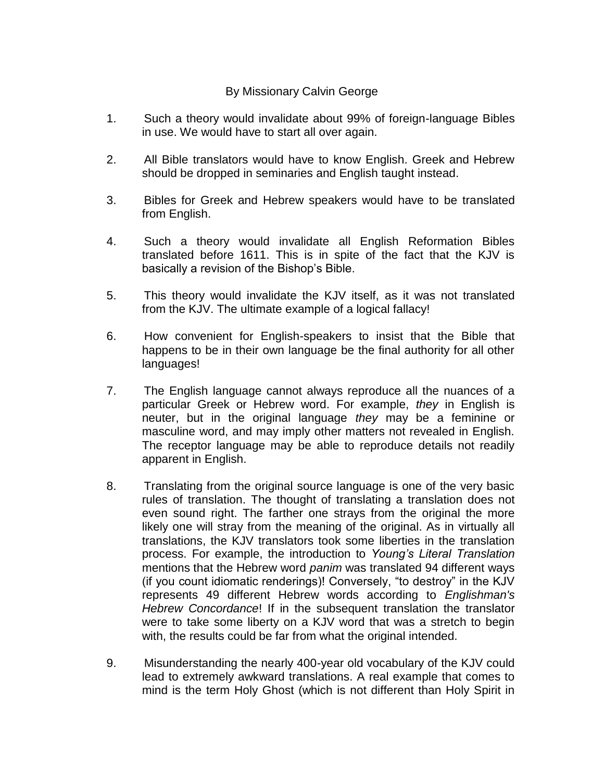# By Missionary Calvin George

- 1. Such a theory would invalidate about 99% of foreign-language Bibles in use. We would have to start all over again.
- 2. All Bible translators would have to know English. Greek and Hebrew should be dropped in seminaries and English taught instead.
- 3. Bibles for Greek and Hebrew speakers would have to be translated from English.
- 4. Such a theory would invalidate all English Reformation Bibles translated before 1611. This is in spite of the fact that the KJV is basically a revision of the Bishop's Bible.
- 5. This theory would invalidate the KJV itself, as it was not translated from the KJV. The ultimate example of a logical fallacy!
- 6. How convenient for English-speakers to insist that the Bible that happens to be in their own language be the final authority for all other languages!
- 7. The English language cannot always reproduce all the nuances of a particular Greek or Hebrew word. For example, *they* in English is neuter, but in the original language *they* may be a feminine or masculine word, and may imply other matters not revealed in English. The receptor language may be able to reproduce details not readily apparent in English.
- 8. Translating from the original source language is one of the very basic rules of translation. The thought of translating a translation does not even sound right. The farther one strays from the original the more likely one will stray from the meaning of the original. As in virtually all translations, the KJV translators took some liberties in the translation process. For example, the introduction to *Young's Literal Translation* mentions that the Hebrew word *panim* was translated 94 different ways (if you count idiomatic renderings)! Conversely, "to destroy" in the KJV represents 49 different Hebrew words according to *Englishman's Hebrew Concordance*! If in the subsequent translation the translator were to take some liberty on a KJV word that was a stretch to begin with, the results could be far from what the original intended.
- 9. Misunderstanding the nearly 400-year old vocabulary of the KJV could lead to extremely awkward translations. A real example that comes to mind is the term Holy Ghost (which is not different than Holy Spirit in